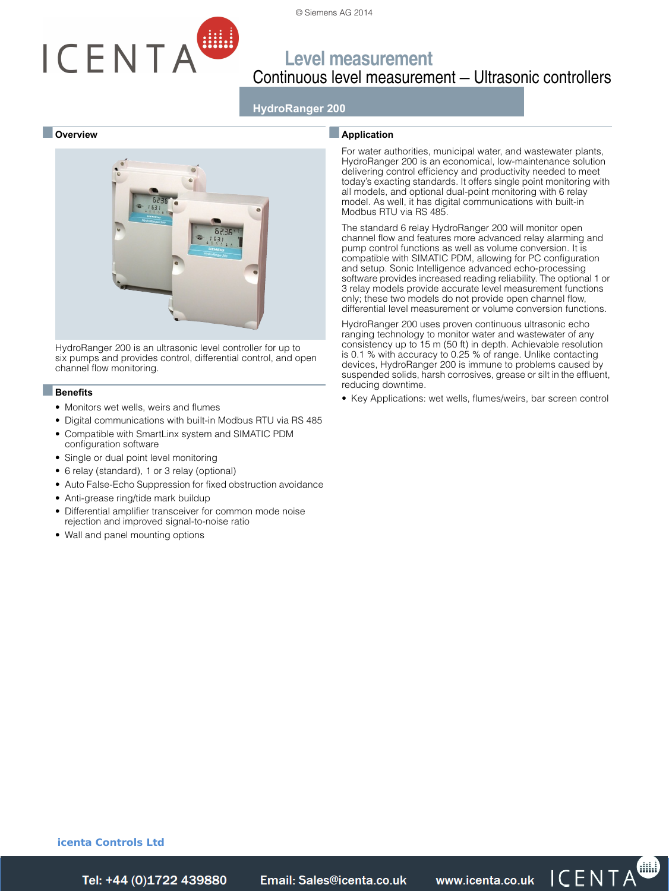

# ICENTA

## **Level measurement** Continuous level measurement — Ultrasonic controllers

## **HydroRanger 200**

#### ■ **Overview**



HydroRanger 200 is an ultrasonic level controller for up to six pumps and provides control, differential control, and open channel flow monitoring.

#### ■**Benefits**

- Monitors wet wells, weirs and flumes
- Digital communications with built-in Modbus RTU via RS 485
- Compatible with SmartLinx system and SIMATIC PDM configuration software
- Single or dual point level monitoring
- 6 relay (standard), 1 or 3 relay (optional)
- Auto False-Echo Suppression for fixed obstruction avoidance
- Anti-grease ring/tide mark buildup
- Differential amplifier transceiver for common mode noise rejection and improved signal-to-noise ratio
- Wall and panel mounting options

#### ■**Application**

For water authorities, municipal water, and wastewater plants, HydroRanger 200 is an economical, low-maintenance solution delivering control efficiency and productivity needed to meet today's exacting standards. It offers single point monitoring with all models, and optional dual-point monitoring with 6 relay model. As well, it has digital communications with built-in Modbus RTU via RS 485.

The standard 6 relay HydroRanger 200 will monitor open channel flow and features more advanced relay alarming and pump control functions as well as volume conversion. It is compatible with SIMATIC PDM, allowing for PC configuration and setup. Sonic Intelligence advanced echo-processing software provides increased reading reliability. The optional 1 or 3 relay models provide accurate level measurement functions only; these two models do not provide open channel flow, differential level measurement or volume conversion functions.

HydroRanger 200 uses proven continuous ultrasonic echo ranging technology to monitor water and wastewater of any consistency up to 15 m (50 ft) in depth. Achievable resolution is 0.1 % with accuracy to 0.25 % of range. Unlike contacting devices, HydroRanger 200 is immune to problems caused by suspended solids, harsh corrosives, grease or silt in the effluent, reducing downtime.

• Key Applications: wet wells, flumes/weirs, bar screen control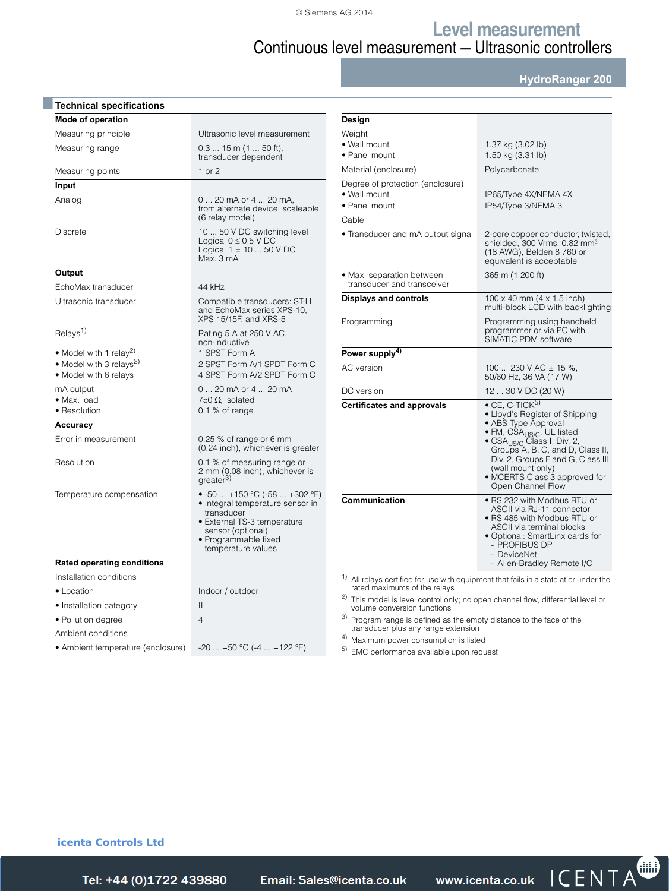© Siemens AG 2014

**Level measurement**

# Continuous level measurement — Ultrasonic controllers

**HydroRanger 200**

| Mode of operation                                            |                                                                                                                                                                                   | Design                               |
|--------------------------------------------------------------|-----------------------------------------------------------------------------------------------------------------------------------------------------------------------------------|--------------------------------------|
| Measuring principle                                          | Ultrasonic level measurement                                                                                                                                                      | Weight                               |
| Measuring range                                              | $0.315$ m $(150$ ft),<br>transducer dependent                                                                                                                                     | $\bullet$ Wall n<br>• Panel          |
| Measuring points                                             | 1 or 2                                                                                                                                                                            | Materia                              |
| Input                                                        |                                                                                                                                                                                   | Degree                               |
| Analog                                                       | 0  20 mA or 4  20 mA,<br>from alternate device, scaleable<br>(6 relay model)                                                                                                      | $\bullet$ Wall n<br>• Panel<br>Cable |
| <b>Discrete</b>                                              | 10  50 V DC switching level<br>Logical $0 \leq 0.5$ V DC<br>Logical $1 = 1050$ V DC<br>Max. 3 mA                                                                                  | • Trans                              |
| Output                                                       |                                                                                                                                                                                   | $\bullet$ Max. $\circ$               |
| EchoMax transducer                                           | 44 kHz                                                                                                                                                                            | transo                               |
| Ultrasonic transducer                                        | Compatible transducers: ST-H<br>and EchoMax series XPS-10,<br>XPS 15/15F, and XRS-5                                                                                               | Display<br>Progran                   |
| Relays <sup>1)</sup>                                         | Rating 5 A at 250 V AC,<br>non-inductive                                                                                                                                          |                                      |
| • Model with 1 relay <sup>2)</sup>                           | 1 SPST Form A                                                                                                                                                                     | Power:                               |
| • Model with 3 relays <sup>2)</sup><br>• Model with 6 relays | 2 SPST Form A/1 SPDT Form C<br>4 SPST Form A/2 SPDT Form C                                                                                                                        | AC vers                              |
| mA output                                                    | 0  20 mA or 4  20 mA                                                                                                                                                              | DC vers                              |
| · Max. load<br>• Resolution                                  | 750 $\Omega$ , isolated<br>$0.1\%$ of range                                                                                                                                       | Certific                             |
| Accuracy                                                     |                                                                                                                                                                                   |                                      |
| Error in measurement                                         | 0.25 $%$ of range or 6 mm<br>(0.24 inch), whichever is greater                                                                                                                    |                                      |
| Resolution                                                   | 0.1 % of measuring range or<br>2 mm (Q.08 inch), whichever is<br>greater <sup>3)</sup>                                                                                            |                                      |
| Temperature compensation                                     | • -50  +150 °C (-58  +302 °F)<br>• Integral temperature sensor in<br>transducer<br>• External TS-3 temperature<br>sensor (optional)<br>• Programmable fixed<br>temperature values | Commu                                |
| <b>Rated operating conditions</b>                            |                                                                                                                                                                                   |                                      |
| Installation conditions                                      |                                                                                                                                                                                   | $1)$ All rel                         |
| • Location                                                   | Indoor / outdoor                                                                                                                                                                  | rated<br><sup>2</sup> ) This r       |
| • Installation category                                      | $\mathsf{II}$                                                                                                                                                                     | volum                                |
| • Pollution degree                                           | 4                                                                                                                                                                                 | 3) Progr<br>trans                    |
| Ambient conditions                                           |                                                                                                                                                                                   | <sup>4)</sup> Maxir                  |
| • Ambient temperature (enclosure)                            | $-20$ $+50$ °C (-4 $+122$ °F)                                                                                                                                                     | $5)$ EMC                             |

| Design                                                                                                        |                                                                                                                                                                                                                                                                                                                                    |
|---------------------------------------------------------------------------------------------------------------|------------------------------------------------------------------------------------------------------------------------------------------------------------------------------------------------------------------------------------------------------------------------------------------------------------------------------------|
| Weight<br>• Wall mount<br>• Panel mount                                                                       | 1.37 kg (3.02 lb)<br>1.50 kg (3.31 lb)                                                                                                                                                                                                                                                                                             |
| Material (enclosure)                                                                                          | Polycarbonate                                                                                                                                                                                                                                                                                                                      |
| Degree of protection (enclosure)<br>· Wall mount<br>• Panel mount                                             | IP65/Type 4X/NEMA 4X<br>IP54/Type 3/NEMA 3                                                                                                                                                                                                                                                                                         |
| Cable                                                                                                         |                                                                                                                                                                                                                                                                                                                                    |
| • Transducer and mA output signal                                                                             | 2-core copper conductor, twisted,<br>shielded, 300 Vrms, 0.82 mm <sup>2</sup><br>(18 AWG), Belden 8 760 or<br>equivalent is acceptable                                                                                                                                                                                             |
| • Max. separation between<br>transducer and transceiver                                                       | 365 m (1 200 ft)                                                                                                                                                                                                                                                                                                                   |
| <b>Displays and controls</b>                                                                                  | $100 \times 40$ mm $(4 \times 1.5$ inch)<br>multi-block LCD with backlighting                                                                                                                                                                                                                                                      |
| Programming                                                                                                   | Programming using handheld<br>programmer or via PC with<br>SIMATIC PDM software                                                                                                                                                                                                                                                    |
| Power supply <sup>4)</sup>                                                                                    |                                                                                                                                                                                                                                                                                                                                    |
| AC version                                                                                                    | 100  230 V AC $\pm$ 15 %,<br>50/60 Hz, 36 VA (17 W)                                                                                                                                                                                                                                                                                |
| DC version                                                                                                    | 12  30 V DC (20 W)                                                                                                                                                                                                                                                                                                                 |
| <b>Certificates and approvals</b>                                                                             | $\bullet$ CE, C-TICK <sup>5)</sup><br>• Lloyd's Register of Shipping<br>• ABS Type Approval<br>• FM, CSA <sub>US/C</sub> , UL listed<br>• CSA <sub>US/C</sub> Class I, Div. 2,<br>Groups A, B, C, and D, Class II,<br>Div. 2, Groups F and G, Class III<br>(wall mount only)<br>• MCERTS Class 3 approved for<br>Open Channel Flow |
| Communication<br>$\alpha$ . All relays certified for use with equipment that fails in a state at or under the | $\bullet$ RS 232 with Modbus RTU or<br>ASCII via RJ-11 connector<br>• RS 485 with Modbus RTU or<br>ASCII via terminal blocks<br>· Optional: SmartLinx cards for<br>- PROFIBUS DP<br>- DeviceNet<br>- Allen-Bradley Remote I/O                                                                                                      |
|                                                                                                               |                                                                                                                                                                                                                                                                                                                                    |

nent that fails in a state at or under the lays certified for use with (<br>I maximums of the relays

model is level control only; no open channel flow, differential level or ne conversion functions

3) Program range is defined as the empty distance to the face of the transducer plus any range extension

mum power consumption is listed

performance available upon request

**icenta Controls Ltd** 

Siemens FI 01 · 2014 **4/159** *Tel: +44 (0)1722 41 Fax: +44 (0)1722 e: sales@icenta.co.uk www.icenta.co.uk*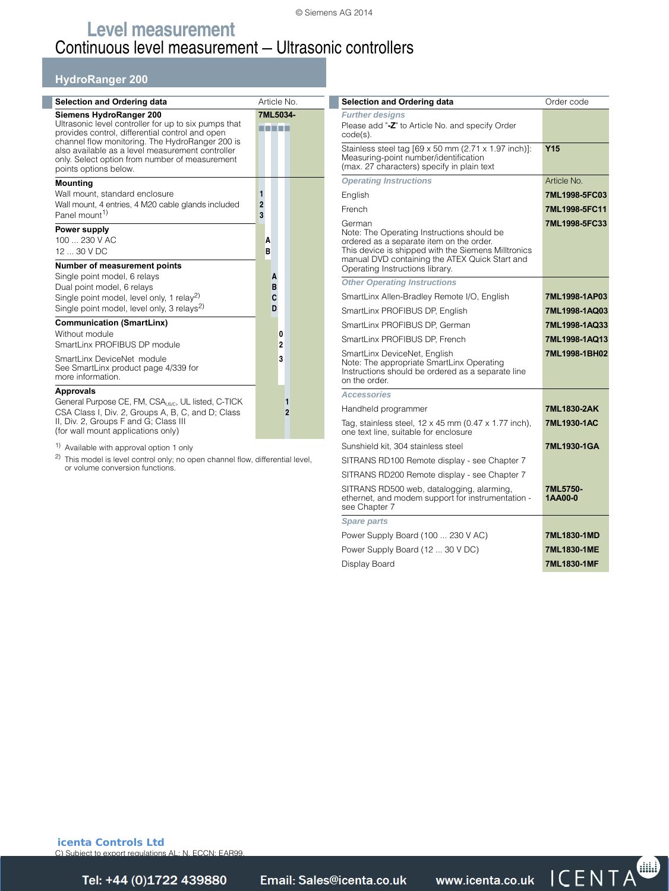#### © Siemens AG 2014

## **Level measurement** Continuous level measurement — Ultrasonic controllers

## **HydroRanger 200**

| <b>Selection and Ordering data</b>                                                                                                                                                                                                                                                                                   | Article No.              |
|----------------------------------------------------------------------------------------------------------------------------------------------------------------------------------------------------------------------------------------------------------------------------------------------------------------------|--------------------------|
| Siemens HydroRanger 200<br>Ultrasonic level controller for up to six pumps that<br>provides control, differential control and open<br>channel flow monitoring. The HydroRanger 200 is<br>also available as a level measurement controller<br>only. Select option from number of measurement<br>points options below. | 7ML5034-<br>.            |
| <b>Mounting</b><br>Wall mount, standard enclosure<br>Wall mount, 4 entries, 4 M20 cable glands included<br>Panel mount <sup>1)</sup>                                                                                                                                                                                 | 1<br>$\overline{2}$<br>3 |
| Power supply<br>100  230 V AC<br>$1230$ V DC                                                                                                                                                                                                                                                                         | A<br>B                   |
| Number of measurement points<br>Single point model, 6 relays<br>Dual point model, 6 relays<br>Single point model, level only, 1 relay <sup>2)</sup><br>Single point model, level only, 3 relays <sup>2)</sup>                                                                                                        | A<br>B<br>C<br>D         |
| <b>Communication (SmartLinx)</b><br>Without module<br>SmartLinx PROFIBUS DP module                                                                                                                                                                                                                                   | 0<br>2                   |
| SmartLinx DeviceNet module<br>See SmartLinx product page 4/339 for<br>more information.                                                                                                                                                                                                                              | 3                        |
| <b>Approvals</b><br>General Purpose CE, FM, CSA <sub>USC</sub> , UL listed, C-TICK<br>CSA Class I, Div. 2, Groups A, B, C, and D; Class<br>II, Div. 2, Groups F and G; Class III<br>(for wall mount applications only)                                                                                               | 1<br>$\overline{2}$      |

1) Available with approval option 1 only

2) This model is level control only; no open channel flow, differential level, or volume conversion functions.

| <b>Selection and Ordering data</b>                                                                                                                                                                                                           | Order code          |
|----------------------------------------------------------------------------------------------------------------------------------------------------------------------------------------------------------------------------------------------|---------------------|
| <b>Further designs</b>                                                                                                                                                                                                                       |                     |
| Please add "-Z" to Article No. and specify Order<br>code(s).                                                                                                                                                                                 |                     |
| Stainless steel tag [69 x 50 mm (2.71 x 1.97 inch)]:<br>Measuring-point number/identification<br>(max. 27 characters) specify in plain text                                                                                                  | Y <sub>15</sub>     |
| <b>Operating Instructions</b>                                                                                                                                                                                                                | Article No.         |
| English                                                                                                                                                                                                                                      | 7ML1998-5FC03       |
| French                                                                                                                                                                                                                                       | 7ML1998-5FC11       |
| German<br>Note: The Operating Instructions should be<br>ordered as a separate item on the order.<br>This device is shipped with the Siemens Milltronics<br>manual DVD containing the ATEX Quick Start and<br>Operating Instructions library. | 7ML1998-5FC33       |
| <b>Other Operating Instructions</b>                                                                                                                                                                                                          |                     |
| SmartLinx Allen-Bradley Remote I/O, English                                                                                                                                                                                                  | 7ML1998-1AP03       |
| SmartLinx PROFIBUS DP, English                                                                                                                                                                                                               | 7ML1998-1AQ03       |
| SmartLinx PROFIBUS DP. German                                                                                                                                                                                                                | 7ML1998-1AQ33       |
| SmartLinx PROFIBUS DP. French                                                                                                                                                                                                                | 7ML1998-1AQ13       |
| SmartLinx DeviceNet, English<br>Note: The appropriate SmartLinx Operating<br>Instructions should be ordered as a separate line<br>on the order.                                                                                              | 7ML1998-1BH02       |
| <b>Accessories</b>                                                                                                                                                                                                                           |                     |
| Handheld programmer                                                                                                                                                                                                                          | 7ML1830-2AK         |
| Tag, stainless steel, 12 x 45 mm (0.47 x 1.77 inch),<br>one text line, suitable for enclosure                                                                                                                                                | 7ML1930-1AC         |
| Sunshield kit, 304 stainless steel                                                                                                                                                                                                           | 7ML1930-1GA         |
| SITRANS RD100 Remote display - see Chapter 7                                                                                                                                                                                                 |                     |
| SITRANS RD200 Remote display - see Chapter 7                                                                                                                                                                                                 |                     |
| SITRANS RD500 web, datalogging, alarming,<br>ethernet, and modem support for instrumentation -<br>see Chapter 7                                                                                                                              | 7ML5750-<br>1AA00-0 |
| <b>Spare parts</b>                                                                                                                                                                                                                           |                     |
| Power Supply Board (100  230 V AC)                                                                                                                                                                                                           | 7ML1830-1MD         |
| Power Supply Board (12  30 V DC)                                                                                                                                                                                                             | 7ML1830-1ME         |
| Display Board                                                                                                                                                                                                                                | 7ML1830-1MF         |